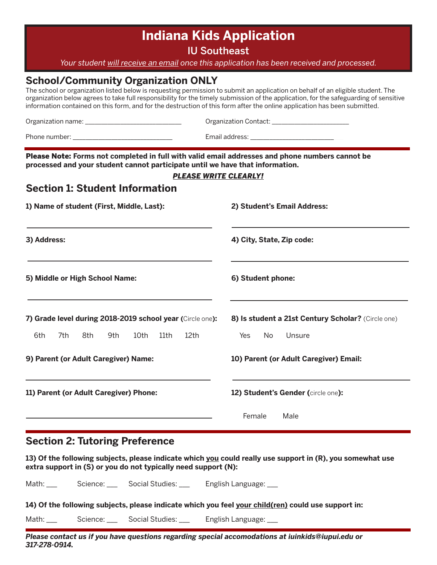# **Indiana Kids Application**

IU Southeast

*Your student will receive an email once this application has been received and processed.*

## **School/Community Organization ONLY**

The school or organization listed below is requesting permission to submit an application on behalf of an eligible student. The organization below agrees to take full responsibility for the timely submission of the application, for the safeguarding of sensitive information contained on this form, and for the destruction of this form after the online application has been submitted.

|                                                                                                                                                                                  | Email address: ________________________________                                       |
|----------------------------------------------------------------------------------------------------------------------------------------------------------------------------------|---------------------------------------------------------------------------------------|
| Please Note: Forms not completed in full with valid email addresses and phone numbers cannot be<br>processed and your student cannot participate until we have that information. | <b>PLEASE WRITE CLEARLY!</b>                                                          |
| <b>Section 1: Student Information</b>                                                                                                                                            |                                                                                       |
| 1) Name of student (First, Middle, Last):                                                                                                                                        | 2) Student's Email Address:                                                           |
| 3) Address:                                                                                                                                                                      | 4) City, State, Zip code:                                                             |
| 5) Middle or High School Name:                                                                                                                                                   | 6) Student phone:                                                                     |
| 7) Grade level during 2018-2019 school year (Circle one):<br>6th<br>7th<br>8th<br>10th<br>12th<br>9th<br>11th                                                                    | 8) Is student a 21st Century Scholar? (Circle one)<br>Yes<br>N <sub>o</sub><br>Unsure |
| 9) Parent (or Adult Caregiver) Name:                                                                                                                                             | 10) Parent (or Adult Caregiver) Email:                                                |
| 11) Parent (or Adult Caregiver) Phone:                                                                                                                                           | 12) Student's Gender (circle one):                                                    |
|                                                                                                                                                                                  | Female<br>Male                                                                        |

## **Section 2: Tutoring Preference**

**13) Of the following subjects, please indicate which you could really use support in (R), you somewhat use extra support in (S) or you do not typically need support (N):**

Math: Cience: Social Studies: English Language: Zooral Studies: Language: Zooral Science

Math: \_\_\_ Science: \_\_ Social Studies: \_\_ English Language: \_\_

*Please contact us if you have questions regarding special accomodations at iuinkids@iupui.edu or 317-278-0914.*